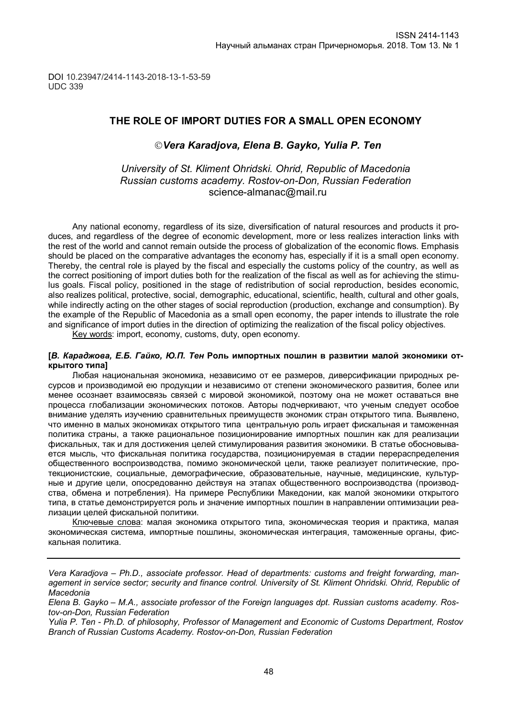DOI 10.23947/2414-1143-2018-13-1-53-59 UDC 339

# **THE ROLE OF IMPORT DUTIES FOR A SMALL OPEN ECONOMY**

### *Vera Karadjova, Elena B. Gayko, Yulia P. Ten*

### *University of St. Kliment Ohridski. Ohrid, Republic of Macedonia Russian customs academy. Rostov-on-Don, Russian Federation* science-almanac@mail.ru

Any national economy, regardless of its size, diversification of natural resources and products it produces, and regardless of the degree of economic development, more or less realizes interaction links with the rest of the world and cannot remain outside the process of globalization of the economic flows. Emphasis should be placed on the comparative advantages the economy has, especially if it is a small open economy. Thereby, the central role is played by the fiscal and especially the customs policy of the country, as well as the correct positioning of import duties both for the realization of the fiscal as well as for achieving the stimulus goals. Fiscal policy, positioned in the stage of redistribution of social reproduction, besides economic, also realizes political, protective, social, demographic, educational, scientific, health, cultural and other goals, while indirectly acting on the other stages of social reproduction (production, exchange and consumption). By the example of the Republic of Macedonia as a small open economy, the paper intends to illustrate the role and significance of import duties in the direction of optimizing the realization of the fiscal policy objectives.

Key words: import, economy, customs, duty, open economy.

#### **[***В. Караджова, Е.Б. Гайко, Ю.П. Тен* **Роль импортных пошлин в развитии малой экономики открытого типа]**

Любая национальная экономика, независимо от ее размеров, диверсификации природных ресурсов и производимой ею продукции и независимо от степени экономического развития, более или менее осознает взаимосвязь связей с мировой экономикой, поэтому она не может оставаться вне процесса глобализации экономических потоков. Авторы подчеркивают, что ученым следует особое внимание уделять изучению сравнительных преимуществ экономик стран открытого типа. Выявлено, что именно в малых экономиках открытого типа центральную роль играет фискальная и таможенная политика страны, а также рациональное позиционирование импортных пошлин как для реализации фискальных, так и для достижения целей стимулирования развития экономики. В статье обосновывается мысль, что фискальная политика государства, позиционируемая в стадии перераспределения общественного воспроизводства, помимо экономической цели, также реализует политические, протекционистские, социальные, демографические, образовательные, научные, медицинские, культурные и другие цели, опосредованно действуя на этапах общественного воспроизводства (производства, обмена и потребления). На примере Республики Македонии, как малой экономики открытого типа, в статье демонстрируется роль и значение импортных пошлин в направлении оптимизации реализации целей фискальной политики.

Ключевые слова: малая экономика открытого типа, экономическая теория и практика, малая экономическая система, импортные пошлины, экономическая интеграция, таможенные органы, фискальная политика.

*Yulia P. Ten - Ph.D. of philosophy, Professor of Management and Economic of Customs Department, Rostov Branch of Russian Customs Academy. Rostov-on-Don, Russian Federation*

*Vera Karadjova – Ph.D., associate professor. Head of departments: customs and freight forwarding, man*agement in service sector; security and finance control. University of St. Kliment Ohridski. Ohrid, Republic of *Macedonia*

*Elena B. Gayko – M.A., associate professor of the Foreign languages dpt. Russian customs academy. Rostov-on-Don, Russian Federation*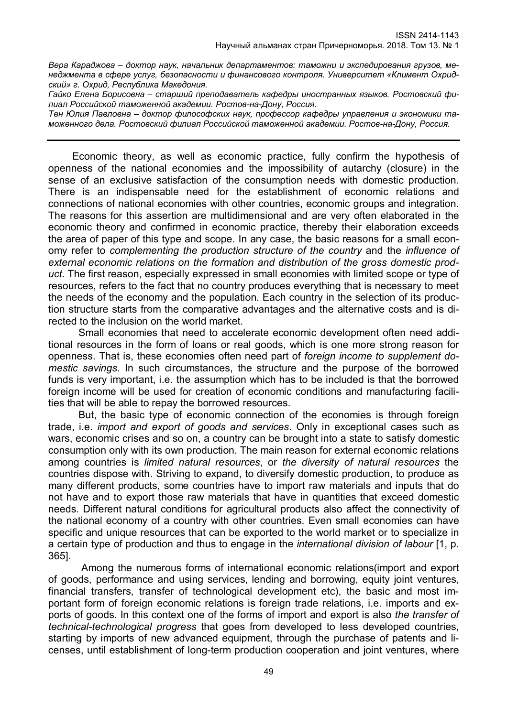*Вера Караджова – доктор наук, начальник департаментов: таможни и экспедирования грузов, менеджмента в сфере услуг, безопасности и финансового контроля. Университет «Климент Охридский» г. Охрид, Республика Македония.*

*Гайко Елена Борисовна – старший преподаватель кафедры иностранных языков. Ростовский филиал Российской таможенной академии. Ростов-на-Дону, Россия.*

*Тен Юлия Павловна – доктор философских наук, профессор кафедры управления и экономики таможенного дела. Ростовский филиал Российской таможенной академии. Ростов-на-Дону, Россия.*

Economic theory, as well as economic practice, fully confirm the hypothesis of openness of the national economies and the impossibility of autarchy (closure) in the sense of an exclusive satisfaction of the consumption needs with domestic production. There is an indispensable need for the establishment of economic relations and connections of national economies with other countries, economic groups and integration. The reasons for this assertion are multidimensional and are very often elaborated in the economic theory and confirmed in economic practice, thereby their elaboration exceeds the area of paper of this type and scope. In any case, the basic reasons for a small economy refer to *complementing the production structure of the country* and the *influence of external economic relations on the formation and distribution of the gross domestic product*. The first reason, especially expressed in small economies with limited scope or type of resources, refers to the fact that no country produces everything that is necessary to meet the needs of the economy and the population. Each country in the selection of its production structure starts from the comparative advantages and the alternative costs and is directed to the inclusion on the world market.

Small economies that need to accelerate economic development often need additional resources in the form of loans or real goods, which is one more strong reason for openness. That is, these economies often need part of *foreign income to supplement domestic savings*. In such circumstances, the structure and the purpose of the borrowed funds is very important, i.e. the assumption which has to be included is that the borrowed foreign income will be used for creation of economic conditions and manufacturing facilities that will be able to repay the borrowed resources.

But, the basic type of economic connection of the economies is through foreign trade, i.e. *import and export of goods and services*. Only in exceptional cases such as wars, economic crises and so on, a country can be brought into a state to satisfy domestic consumption only with its own production. The main reason for external economic relations among countries is *limited natural resources*, or *the diversity of natural resources* the countries dispose with. Striving to expand, to diversify domestic production, to produce as many different products, some countries have to import raw materials and inputs that do not have and to export those raw materials that have in quantities that exceed domestic needs. Different natural conditions for agricultural products also affect the connectivity of the national economy of a country with other countries. Even small economies can have specific and unique resources that can be exported to the world market or to specialize in a certain type of production and thus to engage in the *international division of labour* [1, p. 365].

Among the numerous forms of international economic relations(import and export of goods, performance and using services, lending and borrowing, equity joint ventures, financial transfers, transfer of technological development etc), the basic and most important form of foreign economic relations is foreign trade relations, i.e. imports and exports of goods. In this context one of the forms of import and export is also *the transfer of technical-technological progress* that goes from developed to less developed countries, starting by imports of new advanced equipment, through the purchase of patents and licenses, until establishment of long-term production cooperation and joint ventures, where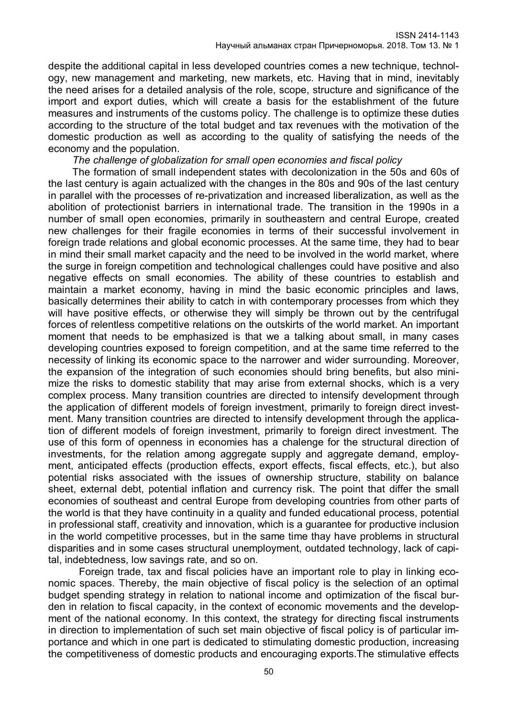despite the additional capital in less developed countries comes a new technique, technology, new management and marketing, new markets, etc. Having that in mind, inevitably the need arises for a detailed analysis of the role, scope, structure and significance of the import and export duties, which will create a basis for the establishment of the future measures and instruments of the customs policy. The challenge is to optimize these duties according to the structure of the total budget and tax revenues with the motivation of the domestic production as well as according to the quality of satisfying the needs of the economy and the population.

### *The challenge of globalization for small open economies and fiscal policy*

The formation of small independent states with decolonization in the 50s and 60s of the last century is again actualized with the changes in the 80s and 90s of the last century in parallel with the processes of re-privatization and increased liberalization, as well as the abolition of protectionist barriers in international trade. The transition in the 1990s in a number of small open economies, primarily in southeastern and central Europe, created new challenges for their fragile economies in terms of their successful involvement in foreign trade relations and global economic processes. At the same time, they had to bear in mind their small market capacity and the need to be involved in the world market, where the surge in foreign competition and technological challenges could have positive and also negative effects on small economies. The ability of these countries to establish and maintain a market economy, having in mind the basic economic principles and laws, basically determines their ability to catch in with contemporary processes from which they will have positive effects, or otherwise they will simply be thrown out by the centrifugal forces of relentless competitive relations on the outskirts of the world market. An important moment that needs to be emphasized is that we a talking about small, in many cases developing countries exposed to foreign competition, and at the same time referred to the necessity of linking its economic space to the narrower and wider surrounding. Moreover, the expansion of the integration of such economies should bring benefits, but also minimize the risks to domestic stability that may arise from external shocks, which is a very complex process. Many transition countries are directed to intensify development through the application of different models of foreign investment, primarily to foreign direct investment. Many transition countries are directed to intensify development through the application of different models of foreign investment, primarily to foreign direct investment. The use of this form of openness in economies has a chalenge for the structural direction of investments, for the relation among aggregate supply and aggregate demand, employment, anticipated effects (production effects, export effects, fiscal effects, etc.), but also potential risks associated with the issues of ownership structure, stability on balance sheet, external debt, potential inflation and currency risk. The point that differ the small economies of southeast and central Europe from developing countries from other parts of the world is that they have continuity in a quality and funded educational process, potential in professional staff, creativity and innovation, which is a guarantee for productive inclusion in the world competitive processes, but in the same time thay have problems in structural disparities and in some cases structural unemployment, outdated technology, lack of capital, indebtedness, low savings rate, and so on.

Foreign trade, tax and fiscal policies have an important role to play in linking economic spaces. Thereby, the main objective of fiscal policy is the selection of an optimal budget spending strategy in relation to national income and optimization of the fiscal burden in relation to fiscal capacity, in the context of economic movements and the development of the national economy. In this context, the strategy for directing fiscal instruments in direction to implementation of such set main objective of fiscal policy is of particular importance and which in one part is dedicated to stimulating domestic production, increasing the competitiveness of domestic products and encouraging exports.The stimulative effects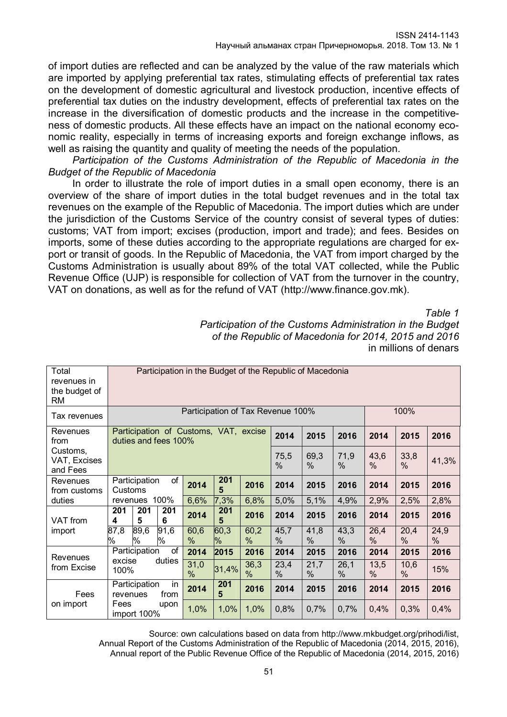of import duties are reflected and can be analyzed by the value of the raw materials which are imported by applying preferential tax rates, stimulating effects of preferential tax rates on the development of domestic agricultural and livestock production, incentive effects of preferential tax duties on the industry development, effects of preferential tax rates on the increase in the diversification of domestic products and the increase in the competitiveness of domestic products. All these effects have an impact on the national economy economic reality, especially in terms of increasing exports and foreign exchange inflows, as well as raising the quantity and quality of meeting the needs of the population.

# *Participation of the Customs Administration of the Republic of Macedonia in the Budget of the Republic of Macedonia*

In order to illustrate the role of import duties in a small open economy, there is an overview of the share of import duties in the total budget revenues and in the total tax revenues on the example of the Republic of Macedonia. The import duties which are under the jurisdiction of the Customs Service of the country consist of several types of duties: customs; VAT from import; excises (production, import and trade); and fees. Besides on imports, some of these duties according to the appropriate regulations are charged for export or transit of goods. In the Republic of Macedonia, the VAT from import charged by the Customs Administration is usually about 89% of the total VAT collected, while the Public Revenue Office (UJP) is responsible for collection of VAT from the turnover in the country, VAT on donations, as well as for the refund of VAT ([http://www.finance.gov.mk\).](http://www.finance.gov.mk/)

*Table 1*

| Participation of the Customs Administration in the Budget |
|-----------------------------------------------------------|
| of the Republic of Macedonia for 2014, 2015 and 2016      |
| in millions of denars                                     |

| Total                                     |                                                               |               |            |           |           |           |           |              |              |              |              |           |  |
|-------------------------------------------|---------------------------------------------------------------|---------------|------------|-----------|-----------|-----------|-----------|--------------|--------------|--------------|--------------|-----------|--|
| revenues in<br>the budget of<br><b>RM</b> | Participation in the Budget of the Republic of Macedonia      |               |            |           |           |           |           |              |              |              |              |           |  |
| Tax revenues                              | 100%<br>Participation of Tax Revenue 100%                     |               |            |           |           |           |           |              |              |              |              |           |  |
| Revenues<br>from                          | Participation of Customs, VAT, excise<br>duties and fees 100% |               |            |           |           |           | 2014      | 2015         | 2016         | 2014         | 2015         | 2016      |  |
| Customs,<br>VAT, Excises<br>and Fees      |                                                               |               |            |           |           |           |           | 69,3<br>$\%$ | 71,9<br>$\%$ | 43,6<br>$\%$ | 33,8<br>$\%$ | 41,3%     |  |
| Revenues<br>from customs                  | Customs                                                       | Participation | of         | 2014      | 201<br>5  | 2016      | 2014      | 2015         | 2016         | 2014         | 2015         | 2016      |  |
| duties                                    |                                                               | revenues 100% |            | 6,6%      | 7,3%      | 6,8%      | 5,0%      | 5,1%         | 4,9%         | 2,9%         | 2,5%         | 2,8%      |  |
| VAT from<br>import                        | 201<br>4                                                      | 201<br>5      | 201<br>6   | 2014      | 201<br>5  | 2016      | 2014      | 2015         | 2016         | 2014         | 2015         | 2016      |  |
|                                           | 87,8<br>%                                                     | 89,6<br>%     | 91,6<br>%  | 60,6<br>% | 60,3<br>% | 60,2<br>% | 45,7<br>% | 41,8<br>%    | 43,3<br>%    | 26,4<br>%    | 20,4<br>%    | 24,9<br>% |  |
| Revenues<br>from Excise                   |                                                               | Participation | οf         | 2014      | 2015      | 2016      | 2014      | 2015         | 2016         | 2014         | 2015         | 2016      |  |
|                                           | excise<br>100%                                                |               | duties     | 31,0<br>% | 31,4%     | 36,3<br>% | 23,4<br>% | 21,7<br>%    | 26,1<br>%    | 13,5<br>%    | 10,6<br>%    | 15%       |  |
| Fees<br>on import                         | revenues                                                      | Participation | in<br>from | 2014      | 201<br>5  | 2016      | 2014      | 2015         | 2016         | 2014         | 2015         | 2016      |  |
|                                           | Fees                                                          | import 100%   | upon       | 1,0%      | 1,0%      | 1,0%      | 0,8%      | 0,7%         | 0,7%         | 0,4%         | 0,3%         | 0,4%      |  |

Source: own calculations based on data from [http://www.mkbudget.org/prihodi/list,](http://www.mkbudget.org/prihodi/list) Annual Report of the Customs Administration of the Republic of Macedonia (2014, 2015, 2016), Annual report of the Public Revenue Office of the Republic of Macedonia (2014, 2015, 2016)